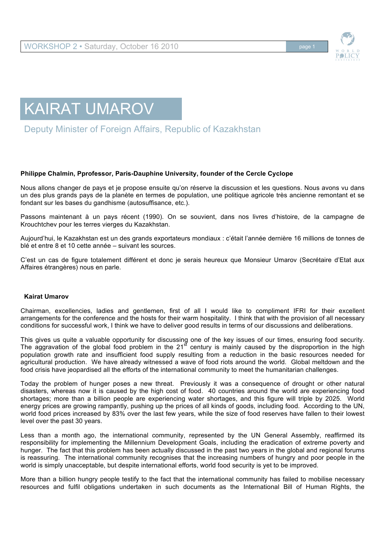



Deputy Minister of Foreign Affairs, Republic of Kazakhstan

### **Philippe Chalmin, Pprofessor, Paris-Dauphine University, founder of the Cercle Cyclope**

Nous allons changer de pays et je propose ensuite qu'on réserve la discussion et les questions. Nous avons vu dans un des plus grands pays de la planète en termes de population, une politique agricole très ancienne remontant et se fondant sur les bases du gandhisme (autosuffisance, etc.).

Passons maintenant à un pays récent (1990). On se souvient, dans nos livres d'histoire, de la campagne de Krouchtchev pour les terres vierges du Kazakhstan.

Aujourd'hui, le Kazakhstan est un des grands exportateurs mondiaux : c'était l'année dernière 16 millions de tonnes de blé et entre 8 et 10 cette année – suivant les sources.

C'est un cas de figure totalement différent et donc je serais heureux que Monsieur Umarov (Secrétaire d'Etat aux Affaires étrangères) nous en parle.

### **Kairat Umarov**

Chairman, excellencies, ladies and gentlemen, first of all I would like to compliment IFRI for their excellent arrangements for the conference and the hosts for their warm hospitality. I think that with the provision of all necessary conditions for successful work, I think we have to deliver good results in terms of our discussions and deliberations.

This gives us quite a valuable opportunity for discussing one of the key issues of our times, ensuring food security. The aggravation of the global food problem in the 21<sup>st</sup> century is mainly caused by the disproportion in the high population growth rate and insufficient food supply resulting from a reduction in the basic resources needed for agricultural production. We have already witnessed a wave of food riots around the world. Global meltdown and the food crisis have jeopardised all the efforts of the international community to meet the humanitarian challenges.

Today the problem of hunger poses a new threat. Previously it was a consequence of drought or other natural disasters, whereas now it is caused by the high cost of food. 40 countries around the world are experiencing food shortages; more than a billion people are experiencing water shortages, and this figure will triple by 2025. World energy prices are growing rampantly, pushing up the prices of all kinds of goods, including food. According to the UN, world food prices increased by 83% over the last few years, while the size of food reserves have fallen to their lowest level over the past 30 years.

Less than a month ago, the international community, represented by the UN General Assembly, reaffirmed its responsibility for implementing the Millennium Development Goals, including the eradication of extreme poverty and hunger. The fact that this problem has been actually discussed in the past two years in the global and regional forums is reassuring. The international community recognises that the increasing numbers of hungry and poor people in the world is simply unacceptable, but despite international efforts, world food security is yet to be improved.

More than a billion hungry people testify to the fact that the international community has failed to mobilise necessary resources and fulfil obligations undertaken in such documents as the International Bill of Human Rights, the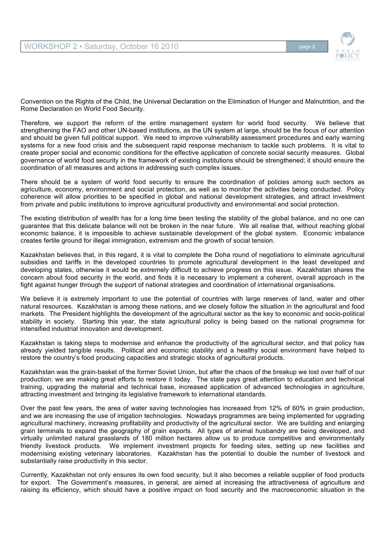

Convention on the Rights of the Child, the Universal Declaration on the Elimination of Hunger and Malnutrition, and the Rome Declaration on World Food Security.

Therefore, we support the reform of the entire management system for world food security. We believe that strengthening the FAO and other UN-based institutions, as the UN system at large, should be the focus of our attention and should be given full political support. We need to improve vulnerability assessment procedures and early warning systems for a new food crisis and the subsequent rapid response mechanism to tackle such problems. It is vital to create proper social and economic conditions for the effective application of concrete social security measures. Global governance of world food security in the framework of existing institutions should be strengthened; it should ensure the coordination of all measures and actions in addressing such complex issues.

There should be a system of world food security to ensure the coordination of policies among such sectors as agriculture, economy, environment and social protection, as well as to monitor the activities being conducted. Policy coherence will allow priorities to be specified in global and national development strategies, and attract investment from private and public institutions to improve agricultural productivity and environmental and social protection.

The existing distribution of wealth has for a long time been testing the stability of the global balance, and no one can guarantee that this delicate balance will not be broken in the near future. We all realise that, without reaching global economic balance, it is impossible to achieve sustainable development of the global system. Economic imbalance creates fertile ground for illegal immigration, extremism and the growth of social tension.

Kazakhstan believes that, in this regard, it is vital to complete the Doha round of negotiations to eliminate agricultural subsidies and tariffs in the developed countries to promote agricultural development in the least developed and developing states, otherwise it would be extremely difficult to achieve progress on this issue. Kazakhstan shares the concern about food security in the world, and finds it is necessary to implement a coherent, overall approach in the fight against hunger through the support of national strategies and coordination of international organisations.

We believe it is extremely important to use the potential of countries with large reserves of land, water and other natural resources. Kazakhstan is among these nations, and we closely follow the situation in the agricultural and food markets. The President highlights the development of the agricultural sector as the key to economic and socio-political stability in society. Starting this year, the state agricultural policy is being based on the national programme for intensified industrial innovation and development.

Kazakhstan is taking steps to modernise and enhance the productivity of the agricultural sector, and that policy has already yielded tangible results. Political and economic stability and a healthy social environment have helped to restore the country's food producing capacities and strategic stocks of agricultural products.

Kazakhstan was the grain-basket of the former Soviet Union, but after the chaos of the breakup we lost over half of our production; we are making great efforts to restore it today. The state pays great attention to education and technical training, upgrading the material and technical base, increased application of advanced technologies in agriculture, attracting investment and bringing its legislative framework to international standards.

Over the past few years, the area of water saving technologies has increased from 12% of 60% in grain production, and we are increasing the use of irrigation technologies. Nowadays programmes are being implemented for upgrading agricultural machinery, increasing profitability and productivity of the agricultural sector. We are building and enlarging grain terminals to expand the geography of grain exports. All types of animal husbandry are being developed, and virtually unlimited natural grasslands of 180 million hectares allow us to produce competitive and environmentally friendly livestock products. We implement investment projects for feeding sites, setting up new facilities and modernising existing veterinary laboratories. Kazakhstan has the potential to double the number of livestock and substantially raise productivity in this sector.

Currently, Kazakhstan not only ensures its own food security, but it also becomes a reliable supplier of food products for export. The Government's measures, in general, are aimed at increasing the attractiveness of agriculture and raising its efficiency, which should have a positive impact on food security and the macroeconomic situation in the